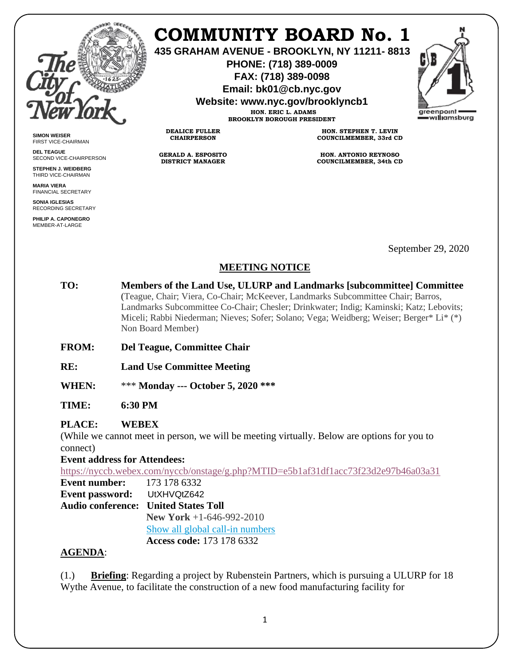

**SIMON WEISER** FIRST VICE-CHAIRMAN **DEL TEAGUE**

SECOND VICE-CHAIRPERSON **STEPHEN J. WEIDBERG** THIRD VICE-CHAIRMAN **MARIA VIERA** FINANCIAL SECRETARY **SONIA IGLESIAS** RECORDING SECRETARY **PHILIP A. CAPONEGRO** MEMBER-AT-LARGE

## **COMMUNITY BOARD No. 1**

**435 GRAHAM AVENUE - BROOKLYN, NY 11211- 8813**

**PHONE: (718) 389-0009 FAX: (718) 389-0098**

**Email: bk01@cb.nyc.gov**

**Website: www.nyc.gov/brooklyncb1**

**HON. ERIC L. ADAMS BROOKLYN BOROUGH PRESIDENT**

**DEALICE FULLER CHAIRPERSON**

**GERALD A. ESPOSITO DISTRICT MANAGER**

**HON. STEPHEN T. LEVIN COUNCILMEMBER, 33rd CD**

**HON. ANTONIO REYNOSO COUNCILMEMBER, 34th CD**

September 29, 2020

## **MEETING NOTICE**

- **TO: Members of the Land Use, ULURP and Landmarks [subcommittee] Committee** (Teague, Chair; Viera, Co-Chair; McKeever, Landmarks Subcommittee Chair; Barros, Landmarks Subcommittee Co-Chair; Chesler; Drinkwater; Indig; Kaminski; Katz; Lebovits; Miceli; Rabbi Niederman; Nieves; Sofer; Solano; Vega; Weidberg; Weiser; Berger\* Li\* (\*) Non Board Member)
- **FROM: Del Teague, Committee Chair**

**RE: Land Use Committee Meeting** 

**WHEN:** \*\*\* **Monday --- October 5, 2020 \*\*\***

**TIME: 6:30 PM**

## **PLACE: WEBEX**

(While we cannot meet in person, we will be meeting virtually. Below are options for you to connect)

**Event address for Attendees:**

<https://nyccb.webex.com/nyccb/onstage/g.php?MTID=e5b1af31df1acc73f23d2e97b46a03a31>

**Event number:** 173 178 6332 **Event password:** UtXHVQtZ642

**Audio conference: United States Toll**

**New York** +1-646-992-2010

[Show all global call-in numbers](https://nyccb.webex.com/cmp3300/webcomponents/widget/globalcallin/globalcallin.do?siteurl=nyccb&serviceType=EC&eventID=996974567&tollFree=0)

 **Access code:** 173 178 6332

## **AGENDA**:

(1.) **Briefing**: Regarding a project by Rubenstein Partners, which is pursuing a ULURP for 18 Wythe Avenue, to facilitate the construction of a new food manufacturing facility for